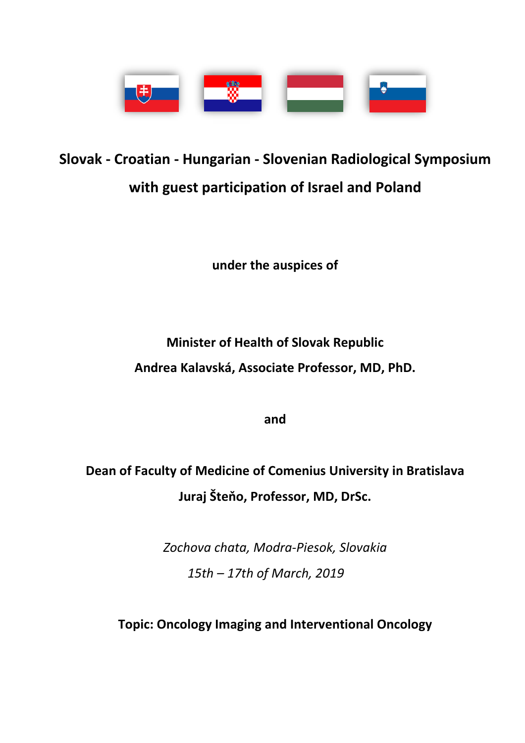

# **Slovak - Croatian - Hungarian - Slovenian Radiological Symposium with guest participation of Israel and Poland**

**under the auspices of**

**Minister of Health of Slovak Republic Andrea Kalavská, Associate Professor, MD, PhD.**

**and**

**Dean of Faculty of Medicine of Comenius University in Bratislava Juraj Šteňo, Professor, MD, DrSc.**

> *Zochova chata, Modra-Piesok, Slovakia 15th – 17th of March, 2019*

**Topic: Oncology Imaging and Interventional Oncology**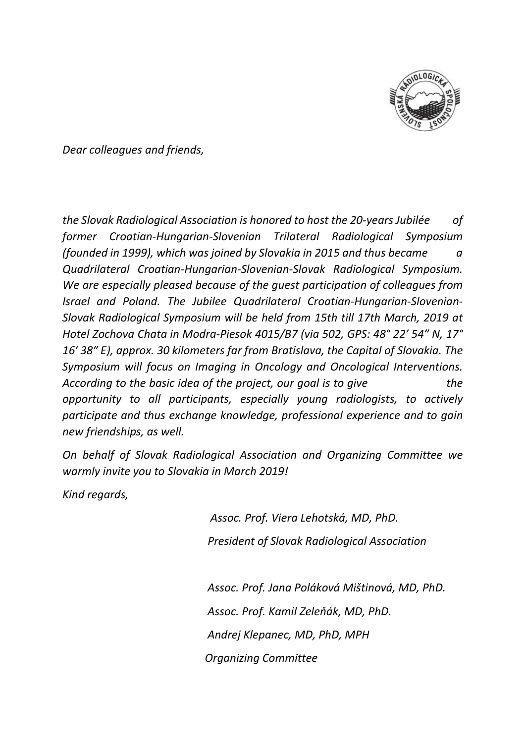

*Dear colleagues and friends,*

*the Slovak Radiological Association is honored to host the 20-years Jubilée of former Croatian-Hungarian-Slovenian Trilateral Radiological Symposium (founded in 1999), which was joined by Slovakia in 2015 and thus became a Quadrilateral Croatian-Hungarian-Slovenian-Slovak Radiological Symposium. We are especially pleased because of the guest participation of colleagues from Israel and Poland. The Jubilee Quadrilateral Croatian-Hungarian-Slovenian-Slovak Radiological Symposium will be held from 15th till 17th March, 2019 at Hotel Zochova Chata in Modra-Piesok 4015/B7 (via 502, GPS: 48° 22′ 54″ N, 17° 16′ 38″ E), approx. 30 kilometers far from Bratislava, the Capital of Slovakia. The Symposium will focus on Imaging in Oncology and Oncological Interventions. According to the basic idea of the project, our goal is to give the opportunity to all participants, especially young radiologists, to actively participate and thus exchange knowledge, professional experience and to gain new friendships, as well.*

*On behalf of Slovak Radiological Association and Organizing Committee we warmly invite you to Slovakia in March 2019!*

*Kind regards,* 

 *Assoc. Prof. Viera Lehotská, MD, PhD. President of Slovak Radiological Association*

 *Assoc. Prof. Jana Poláková Mištinová, MD, PhD. Assoc. Prof. Kamil Zeleňák, MD, PhD. Andrej Klepanec, MD, PhD, MPH Organizing Committee*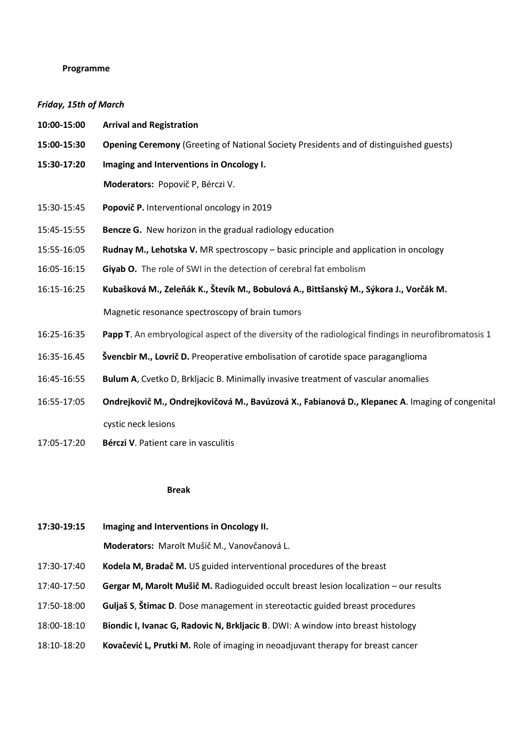## **Programme**

# *Friday, 15th of March*

| 10:00-15:00 | <b>Arrival and Registration</b>                                                                      |
|-------------|------------------------------------------------------------------------------------------------------|
| 15:00-15:30 | <b>Opening Ceremony (Greeting of National Society Presidents and of distinguished guests)</b>        |
| 15:30-17:20 | Imaging and Interventions in Oncology I.                                                             |
|             | Moderators: Popovič P, Bérczi V.                                                                     |
| 15:30-15:45 | Popovič P. Interventional oncology in 2019                                                           |
| 15:45-15:55 | Bencze G. New horizon in the gradual radiology education                                             |
| 15:55-16:05 | Rudnay M., Lehotska V. MR spectroscopy - basic principle and application in oncology                 |
| 16:05-16:15 | Giyab O. The role of SWI in the detection of cerebral fat embolism                                   |
| 16:15-16:25 | Kubašková M., Zeleňák K., Števík M., Bobulová A., Bittšanský M., Sýkora J., Vorčák M.                |
|             | Magnetic resonance spectroscopy of brain tumors                                                      |
| 16:25-16:35 | Papp T. An embryological aspect of the diversity of the radiological findings in neurofibromatosis 1 |
| 16:35-16.45 | Švencbir M., Lovrič D. Preoperative embolisation of carotide space paraganglioma                     |
| 16:45-16:55 | Bulum A, Cvetko D, Brkljacic B. Minimally invasive treatment of vascular anomalies                   |
| 16:55-17:05 | Ondrejkovič M., Ondrejkovičová M., Bavúzová X., Fabianová D., Klepanec A. Imaging of congenital      |

cystic neck lesions

17:05-17:20 **Bérczi V**. Patient care in vasculitis

### **Break**

| 17:30-19:15 | Imaging and Interventions in Oncology II.                                             |
|-------------|---------------------------------------------------------------------------------------|
|             | Moderators: Marolt Mušič M., Vanovčanová L.                                           |
| 17:30-17:40 | Kodela M, Bradač M. US guided interventional procedures of the breast                 |
| 17:40-17:50 | Gergar M, Marolt Mušič M. Radioguided occult breast lesion localization – our results |
| 17:50-18:00 | Guljaš S, Štimac D. Dose management in stereotactic guided breast procedures          |
| 18:00-18:10 | Biondic I, Ivanac G, Radovic N, Brkljacic B. DWI: A window into breast histology      |
| 18:10-18:20 | Kovačević L, Prutki M. Role of imaging in neoadjuvant therapy for breast cancer       |
|             |                                                                                       |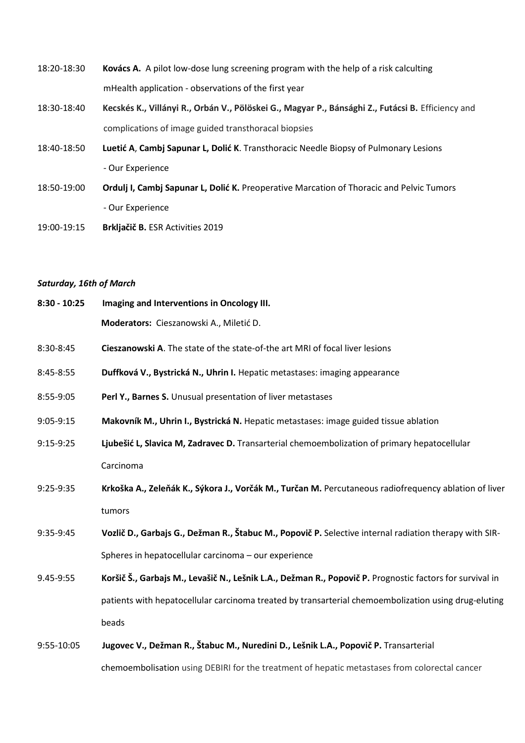- 18:20-18:30 **Kovács A.** A pilot low-dose lung screening program with the help of a risk calculting mHealth application - observations of the first year
- 18:30-18:40 **Kecskés K., Villányi R., Orbán V., Pölöskei G., Magyar P., Bánsághi Z., Futácsi B.** Efficiency and complications of image guided transthoracal biopsies
- 18:40-18:50 **Luetić A**, **Cambj Sapunar L, Dolić K**. Transthoracic Needle Biopsy of Pulmonary Lesions - Our Experience
- 18:50-19:00 **Ordulj I, Cambj Sapunar L, Dolić K.** Preoperative Marcation of Thoracic and Pelvic Tumors - Our Experience
- 19:00-19:15 **Brkljačič B.** ESR Activities 2019

#### *Saturday, 16th of March*

| $8:30 - 10:25$ | Imaging and Interventions in Oncology III.                                                               |
|----------------|----------------------------------------------------------------------------------------------------------|
|                | Moderators: Cieszanowski A., Miletić D.                                                                  |
| 8:30-8:45      | Cieszanowski A. The state of the state-of-the art MRI of focal liver lesions                             |
| 8:45-8:55      | Duffková V., Bystrická N., Uhrin I. Hepatic metastases: imaging appearance                               |
| 8:55-9:05      | Perl Y., Barnes S. Unusual presentation of liver metastases                                              |
| 9:05-9:15      | Makovník M., Uhrin I., Bystrická N. Hepatic metastases: image guided tissue ablation                     |
| $9:15-9:25$    | Ljubešić L, Slavica M, Zadravec D. Transarterial chemoembolization of primary hepatocellular             |
|                | Carcinoma                                                                                                |
| 9:25-9:35      | Krkoška A., Zeleňák K., Sýkora J., Vorčák M., Turčan M. Percutaneous radiofrequency ablation of liver    |
|                | tumors                                                                                                   |
| 9:35-9:45      | Vozlič D., Garbajs G., Dežman R., Štabuc M., Popovič P. Selective internal radiation therapy with SIR-   |
|                | Spheres in hepatocellular carcinoma - our experience                                                     |
| 9.45-9:55      | Koršič Š., Garbajs M., Levašič N., Lešnik L.A., Dežman R., Popovič P. Prognostic factors for survival in |
|                | patients with hepatocellular carcinoma treated by transarterial chemoembolization using drug-eluting     |
|                | beads                                                                                                    |
| 9:55-10:05     | Jugovec V., Dežman R., Štabuc M., Nuredini D., Lešnik L.A., Popovič P. Transarterial                     |

chemoembolisation using DEBIRI for the treatment of hepatic metastases from colorectal cancer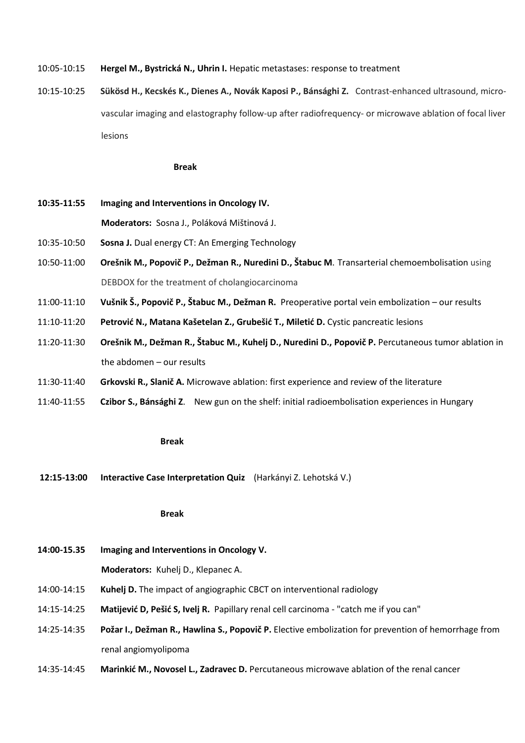- 10:05-10:15 **Hergel M., Bystrická N., Uhrin I.** Hepatic metastases: response to treatment
- 10:15-10:25 **Sükösd H., Kecskés K., Dienes A., Novák Kaposi P., Bánsághi Z.** Contrast-enhanced ultrasound, micro vascular imaging and elastography follow-up after radiofrequency- or microwave ablation of focal liver lesions

#### **Break**

**10:35-11:55 Imaging and Interventions in Oncology IV.**

**Moderators:** Sosna J., Poláková Mištinová J.

- 10:35-10:50 **Sosna J.** Dual energy CT: An Emerging Technology
- 10:50-11:00 **Orešnik M., Popovič P., Dežman R., Nuredini D., Štabuc M**. Transarterial chemoembolisation using DEBDOX for the treatment of cholangiocarcinoma
- 11:00-11:10 **Vušnik Š., Popovič P., Štabuc M., Dežman R.** Preoperative portal vein embolization our results
- 11:10-11:20 **Petrović N., Matana Kašetelan Z., Grubešić T., Miletić D.** Cystic pancreatic lesions
- 11:20-11:30 **Orešnik M., Dežman R., Štabuc M., Kuhelj D., Nuredini D., Popovič P.** Percutaneous tumor ablation in the abdomen – our results
- 11:30-11:40 **Grkovski R., Slanič A.** Microwave ablation: first experience and review of the literature
- 11:40-11:55 **Czibor S., Bánsághi Z**. New gun on the shelf: initial radioembolisation experiences in Hungary

#### **Break**

**12:15-13:00 Interactive Case Interpretation Quiz** (Harkányi Z. Lehotská V.)

#### **Break**

**14:00-15.35 Imaging and Interventions in Oncology V.**

**Moderators:** Kuhelj D., Klepanec A.

- 14:00-14:15 **Kuhelj D.** The impact of angiographic CBCT on interventional radiology
- 14:15-14:25 **Matijević D, Pešić S, Ivelj R.** Papillary renal cell carcinoma "catch me if you can"
- 14:25-14:35 **Požar I., Dežman R., Hawlina S., Popovič P.** Elective embolization for prevention of hemorrhage from renal angiomyolipoma
- 14:35-14:45 **Marinkić M., Novosel L., Zadravec D.** Percutaneous microwave ablation of the renal cancer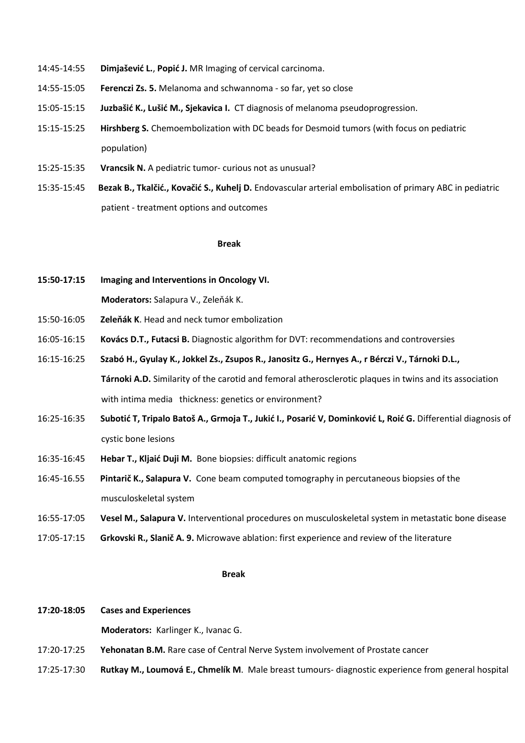- 14:45-14:55 **Dimjašević L.**, **Popić J.** MR Imaging of cervical carcinoma.
- 14:55-15:05 **Ferenczi Zs. 5.** Melanoma and schwannoma so far, yet so close
- 15:05-15:15 **Juzbašić K., Lušić M., Sjekavica I.** CT diagnosis of melanoma pseudoprogression.
- 15:15-15:25 **Hirshberg S.** Chemoembolization with DC beads for Desmoid tumors (with focus on pediatric population)
- 15:25-15:35 **Vrancsik N.** A pediatric tumor- curious not as unusual?
- 15:35-15:45 **Bezak B., Tkalčić., Kovačić S., Kuhelj D.** Endovascular arterial embolisation of primary ABC in pediatric patient - treatment options and outcomes

#### **Break**

**15:50-17:15 Imaging and Interventions in Oncology VI.**

 **Moderators:** Salapura V., Zeleňák K.

- 15:50-16:05 **Zeleňák K**. Head and neck tumor embolization
- 16:05-16:15 **Kovács D.T., Futacsi B.** Diagnostic algorithm for DVT: recommendations and controversies
- 16:15-16:25 Szabó H., Gyulay K., Jokkel Zs., Zsupos R., Janositz G., Hernyes A., r Bérczi V., Tárnoki D.L.,  **Tárnoki A.D.** Similarity of the carotid and femoral atherosclerotic plaques in twins and its association with intima media thickness: genetics or environment?
- 16:25-16:35 Subotić T, Tripalo Batoš A., Grmoja T., Jukić I., Posarić V, Dominković L, Roić G. Differential diagnosis of cystic bone lesions
- 16:35-16:45 **Hebar T., Kljaić Duji M.** Bone biopsies: difficult anatomic regions
- 16:45-16.55 **Pintarič K., Salapura V.** Cone beam computed tomography in percutaneous biopsies of the musculoskeletal system
- 16:55-17:05 **Vesel M., Salapura V.** Interventional procedures on musculoskeletal system in metastatic bone disease
- 17:05-17:15 **Grkovski R., Slanič A. 9.** Microwave ablation: first experience and review of the literature

#### المستخدم المستخدم المستخدم المستخدم المستخدم المستخدم المستخدم المستخدم المستخدم المستخدم المستخدم المستخدم ال

#### **17:20-18:05 Cases and Experiences**

 **Moderators:** Karlinger K., Ivanac G.

- 17:20-17:25 **Yehonatan B.M.** Rare case of Central Nerve System involvement of Prostate cancer
- 17:25-17:30 **Rutkay M., Loumová E., Chmelík M**. Male breast tumours- diagnostic experience from general hospital